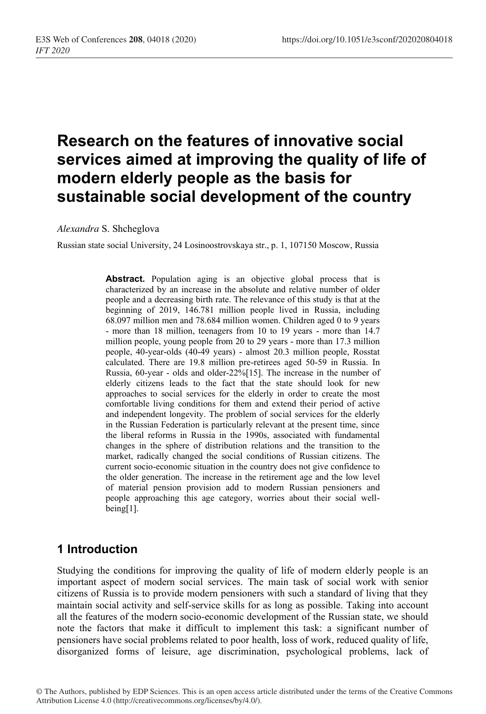# **Research on the features of innovative social services aimed at improving the quality of life of modern elderly people as the basis for sustainable social development of the country**

*Alexandra* S. Shcheglova

Russian state social University, 24 Losinoostrovskaya str., p. 1, 107150 Moscow, Russia

Abstract. Population aging is an objective global process that is characterized by an increase in the absolute and relative number of older people and a decreasing birth rate. The relevance of this study is that at the beginning of 2019, 146.781 million people lived in Russia, including 68.097 million men and 78.684 million women. Children aged 0 to 9 years - more than 18 million, teenagers from 10 to 19 years - more than 14.7 million people, young people from 20 to 29 years - more than 17.3 million people, 40-year-olds (40-49 years) - almost 20.3 million people, Rosstat calculated. There are 19.8 million pre-retirees aged 50-59 in Russia. In Russia, 60-year - olds and older-22%[15]. The increase in the number of elderly citizens leads to the fact that the state should look for new approaches to social services for the elderly in order to create the most comfortable living conditions for them and extend their period of active and independent longevity. The problem of social services for the elderly in the Russian Federation is particularly relevant at the present time, since the liberal reforms in Russia in the 1990s, associated with fundamental changes in the sphere of distribution relations and the transition to the market, radically changed the social conditions of Russian citizens. The current socio-economic situation in the country does not give confidence to the older generation. The increase in the retirement age and the low level of material pension provision add to modern Russian pensioners and people approaching this age category, worries about their social wellbeing[1].

## **1 Introduction**

Studying the conditions for improving the quality of life of modern elderly people is an important aspect of modern social services. The main task of social work with senior citizens of Russia is to provide modern pensioners with such a standard of living that they maintain social activity and self-service skills for as long as possible. Taking into account all the features of the modern socio-economic development of the Russian state, we should note the factors that make it difficult to implement this task: a significant number of pensioners have social problems related to poor health, loss of work, reduced quality of life, disorganized forms of leisure, age discrimination, psychological problems, lack of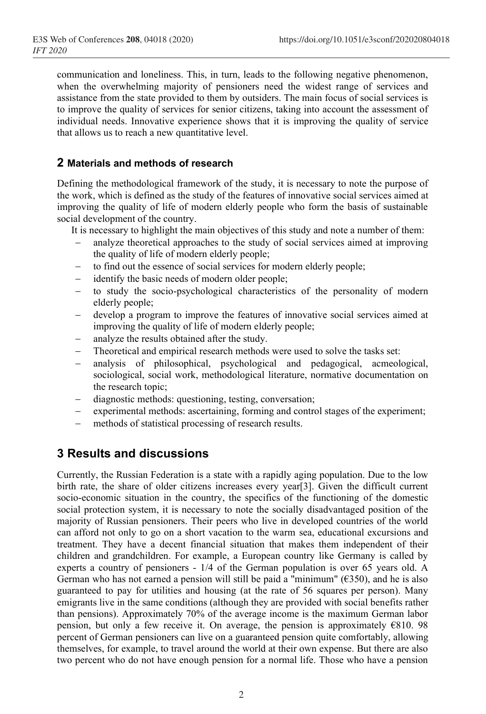communication and loneliness. This, in turn, leads to the following negative phenomenon, when the overwhelming majority of pensioners need the widest range of services and assistance from the state provided to them by outsiders. The main focus of social services is to improve the quality of services for senior citizens, taking into account the assessment of individual needs. Innovative experience shows that it is improving the quality of service that allows us to reach a new quantitative level.

#### **2 Materials and methods of research**

Defining the methodological framework of the study, it is necessary to note the purpose of the work, which is defined as the study of the features of innovative social services aimed at improving the quality of life of modern elderly people who form the basis of sustainable social development of the country.

It is necessary to highlight the main objectives of this study and note a number of them:

- analyze theoretical approaches to the study of social services aimed at improving the quality of life of modern elderly people;
- to find out the essence of social services for modern elderly people;
- − identify the basic needs of modern older people;
- to study the socio-psychological characteristics of the personality of modern elderly people;
- − develop a program to improve the features of innovative social services aimed at improving the quality of life of modern elderly people;
- analyze the results obtained after the study.
- Theoretical and empirical research methods were used to solve the tasks set:
- analysis of philosophical, psychological and pedagogical, acmeological, sociological, social work, methodological literature, normative documentation on the research topic;
- − diagnostic methods: questioning, testing, conversation;
- experimental methods: ascertaining, forming and control stages of the experiment;
- methods of statistical processing of research results.

# **3 Results and discussions**

Currently, the Russian Federation is a state with a rapidly aging population. Due to the low birth rate, the share of older citizens increases every year[3]. Given the difficult current socio-economic situation in the country, the specifics of the functioning of the domestic social protection system, it is necessary to note the socially disadvantaged position of the majority of Russian pensioners. Their peers who live in developed countries of the world can afford not only to go on a short vacation to the warm sea, educational excursions and treatment. They have a decent financial situation that makes them independent of their children and grandchildren. For example, a European country like Germany is called by experts a country of pensioners - 1/4 of the German population is over 65 years old. A German who has not earned a pension will still be paid a "minimum" ( $\epsilon$ 350), and he is also guaranteed to pay for utilities and housing (at the rate of 56 squares per person). Many emigrants live in the same conditions (although they are provided with social benefits rather than pensions). Approximately 70% of the average income is the maximum German labor pension, but only a few receive it. On average, the pension is approximately  $E810.98$ percent of German pensioners can live on a guaranteed pension quite comfortably, allowing themselves, for example, to travel around the world at their own expense. But there are also two percent who do not have enough pension for a normal life. Those who have a pension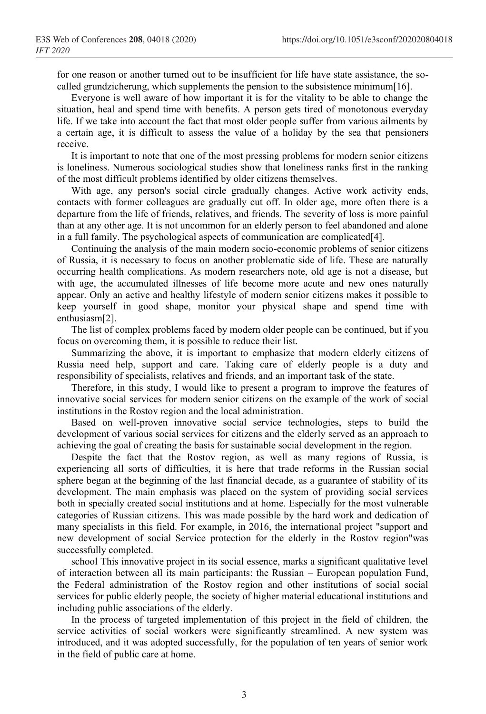for one reason or another turned out to be insufficient for life have state assistance, the socalled grundzicherung, which supplements the pension to the subsistence minimum[16].

Everyone is well aware of how important it is for the vitality to be able to change the situation, heal and spend time with benefits. A person gets tired of monotonous everyday life. If we take into account the fact that most older people suffer from various ailments by a certain age, it is difficult to assess the value of a holiday by the sea that pensioners receive.

It is important to note that one of the most pressing problems for modern senior citizens is loneliness. Numerous sociological studies show that loneliness ranks first in the ranking of the most difficult problems identified by older citizens themselves.

With age, any person's social circle gradually changes. Active work activity ends, contacts with former colleagues are gradually cut off. In older age, more often there is a departure from the life of friends, relatives, and friends. The severity of loss is more painful than at any other age. It is not uncommon for an elderly person to feel abandoned and alone in a full family. The psychological aspects of communication are complicated[4].

Continuing the analysis of the main modern socio-economic problems of senior citizens of Russia, it is necessary to focus on another problematic side of life. These are naturally occurring health complications. As modern researchers note, old age is not a disease, but with age, the accumulated illnesses of life become more acute and new ones naturally appear. Only an active and healthy lifestyle of modern senior citizens makes it possible to keep yourself in good shape, monitor your physical shape and spend time with enthusiasm[2].

The list of complex problems faced by modern older people can be continued, but if you focus on overcoming them, it is possible to reduce their list.

Summarizing the above, it is important to emphasize that modern elderly citizens of Russia need help, support and care. Taking care of elderly people is a duty and responsibility of specialists, relatives and friends, and an important task of the state.

Therefore, in this study, I would like to present a program to improve the features of innovative social services for modern senior citizens on the example of the work of social institutions in the Rostov region and the local administration.

Based on well-proven innovative social service technologies, steps to build the development of various social services for citizens and the elderly served as an approach to achieving the goal of creating the basis for sustainable social development in the region.

Despite the fact that the Rostov region, as well as many regions of Russia, is experiencing all sorts of difficulties, it is here that trade reforms in the Russian social sphere began at the beginning of the last financial decade, as a guarantee of stability of its development. The main emphasis was placed on the system of providing social services both in specially created social institutions and at home. Especially for the most vulnerable categories of Russian citizens. This was made possible by the hard work and dedication of many specialists in this field. For example, in 2016, the international project "support and new development of social Service protection for the elderly in the Rostov region"was successfully completed.

school This innovative project in its social essence, marks a significant qualitative level of interaction between all its main participants: the Russian – European population Fund, the Federal administration of the Rostov region and other institutions of social social services for public elderly people, the society of higher material educational institutions and including public associations of the elderly.

In the process of targeted implementation of this project in the field of children, the service activities of social workers were significantly streamlined. A new system was introduced, and it was adopted successfully, for the population of ten years of senior work in the field of public care at home.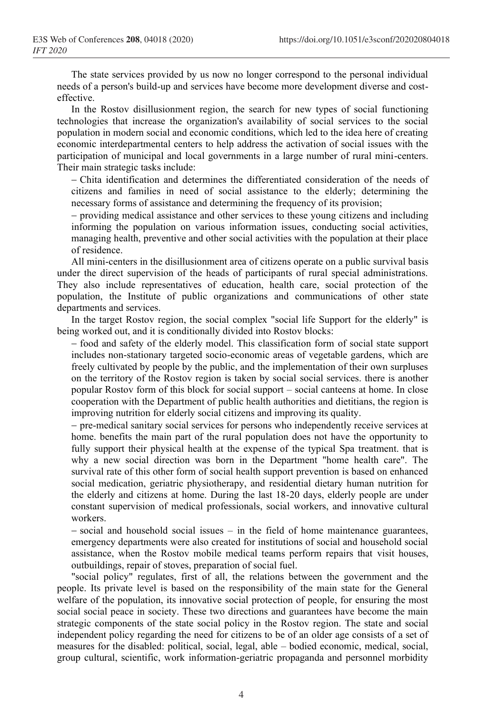The state services provided by us now no longer correspond to the personal individual needs of a person's build-up and services have become more development diverse and costeffective.

In the Rostov disillusionment region, the search for new types of social functioning technologies that increase the organization's availability of social services to the social population in modern social and economic conditions, which led to the idea here of creating economic interdepartmental centers to help address the activation of social issues with the participation of municipal and local governments in a large number of rural mini-centers. Their main strategic tasks include:

− Chita identification and determines the differentiated consideration of the needs of citizens and families in need of social assistance to the elderly; determining the necessary forms of assistance and determining the frequency of its provision;

− providing medical assistance and other services to these young citizens and including informing the population on various information issues, conducting social activities, managing health, preventive and other social activities with the population at their place of residence.

All mini-centers in the disillusionment area of citizens operate on a public survival basis under the direct supervision of the heads of participants of rural special administrations. They also include representatives of education, health care, social protection of the population, the Institute of public organizations and communications of other state departments and services.

In the target Rostov region, the social complex "social life Support for the elderly" is being worked out, and it is conditionally divided into Rostov blocks:

− food and safety of the elderly model. This classification form of social state support includes non-stationary targeted socio-economic areas of vegetable gardens, which are freely cultivated by people by the public, and the implementation of their own surpluses on the territory of the Rostov region is taken by social social services. there is another popular Rostov form of this block for social support – social canteens at home. In close cooperation with the Department of public health authorities and dietitians, the region is improving nutrition for elderly social citizens and improving its quality.

− pre-medical sanitary social services for persons who independently receive services at home. benefits the main part of the rural population does not have the opportunity to fully support their physical health at the expense of the typical Spa treatment. that is why a new social direction was born in the Department "home health care". The survival rate of this other form of social health support prevention is based on enhanced social medication, geriatric physiotherapy, and residential dietary human nutrition for the elderly and citizens at home. During the last 18-20 days, elderly people are under constant supervision of medical professionals, social workers, and innovative cultural workers.

− social and household social issues – in the field of home maintenance guarantees, emergency departments were also created for institutions of social and household social assistance, when the Rostov mobile medical teams perform repairs that visit houses, outbuildings, repair of stoves, preparation of social fuel.

"social policy" regulates, first of all, the relations between the government and the people. Its private level is based on the responsibility of the main state for the General welfare of the population, its innovative social protection of people, for ensuring the most social social peace in society. These two directions and guarantees have become the main strategic components of the state social policy in the Rostov region. The state and social independent policy regarding the need for citizens to be of an older age consists of a set of measures for the disabled: political, social, legal, able – bodied economic, medical, social, group cultural, scientific, work information-geriatric propaganda and personnel morbidity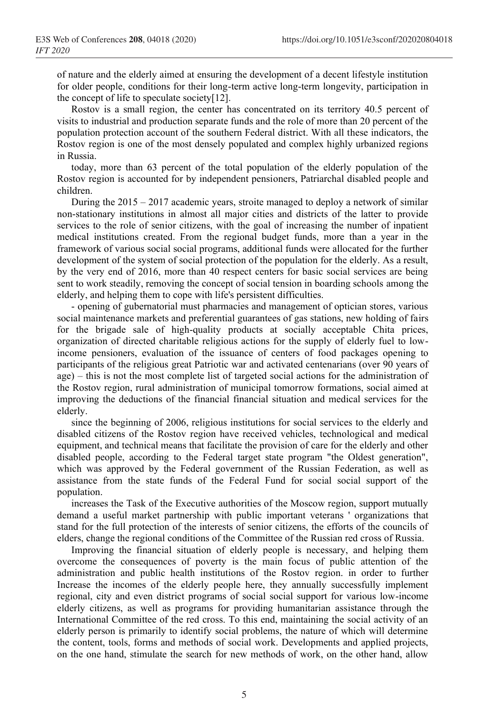of nature and the elderly aimed at ensuring the development of a decent lifestyle institution for older people, conditions for their long-term active long-term longevity, participation in the concept of life to speculate society[12].

Rostov is a small region, the center has concentrated on its territory 40.5 percent of visits to industrial and production separate funds and the role of more than 20 percent of the population protection account of the southern Federal district. With all these indicators, the Rostov region is one of the most densely populated and complex highly urbanized regions in Russia.

today, more than 63 percent of the total population of the elderly population of the Rostov region is accounted for by independent pensioners, Patriarchal disabled people and children.

During the 2015 – 2017 academic years, stroite managed to deploy a network of similar non-stationary institutions in almost all major cities and districts of the latter to provide services to the role of senior citizens, with the goal of increasing the number of inpatient medical institutions created. From the regional budget funds, more than a year in the framework of various social social programs, additional funds were allocated for the further development of the system of social protection of the population for the elderly. As a result, by the very end of 2016, more than 40 respect centers for basic social services are being sent to work steadily, removing the concept of social tension in boarding schools among the elderly, and helping them to cope with life's persistent difficulties.

- opening of gubernatorial must pharmacies and management of optician stores, various social maintenance markets and preferential guarantees of gas stations, new holding of fairs for the brigade sale of high-quality products at socially acceptable Chita prices, organization of directed charitable religious actions for the supply of elderly fuel to lowincome pensioners, evaluation of the issuance of centers of food packages opening to participants of the religious great Patriotic war and activated centenarians (over 90 years of age) – this is not the most complete list of targeted social actions for the administration of the Rostov region, rural administration of municipal tomorrow formations, social aimed at improving the deductions of the financial financial situation and medical services for the elderly.

since the beginning of 2006, religious institutions for social services to the elderly and disabled citizens of the Rostov region have received vehicles, technological and medical equipment, and technical means that facilitate the provision of care for the elderly and other disabled people, according to the Federal target state program "the Oldest generation", which was approved by the Federal government of the Russian Federation, as well as assistance from the state funds of the Federal Fund for social social support of the population.

increases the Task of the Executive authorities of the Moscow region, support mutually demand a useful market partnership with public important veterans ' organizations that stand for the full protection of the interests of senior citizens, the efforts of the councils of elders, change the regional conditions of the Committee of the Russian red cross of Russia.

Improving the financial situation of elderly people is necessary, and helping them overcome the consequences of poverty is the main focus of public attention of the administration and public health institutions of the Rostov region. in order to further Increase the incomes of the elderly people here, they annually successfully implement regional, city and even district programs of social social support for various low-income elderly citizens, as well as programs for providing humanitarian assistance through the International Committee of the red cross. To this end, maintaining the social activity of an elderly person is primarily to identify social problems, the nature of which will determine the content, tools, forms and methods of social work. Developments and applied projects, on the one hand, stimulate the search for new methods of work, on the other hand, allow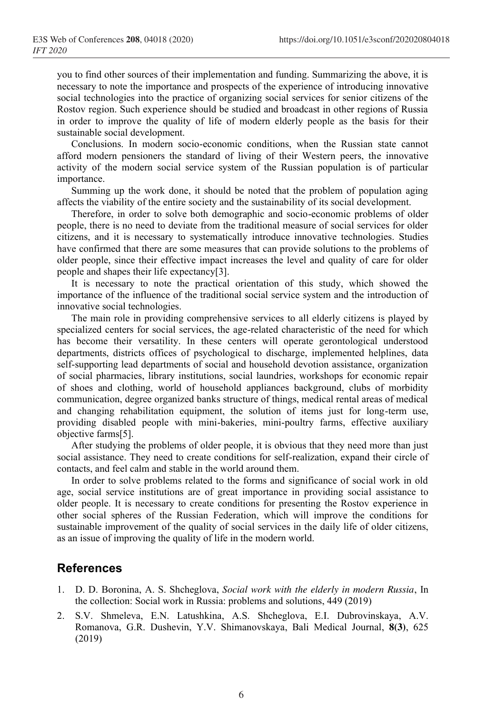you to find other sources of their implementation and funding. Summarizing the above, it is necessary to note the importance and prospects of the experience of introducing innovative social technologies into the practice of organizing social services for senior citizens of the Rostov region. Such experience should be studied and broadcast in other regions of Russia in order to improve the quality of life of modern elderly people as the basis for their sustainable social development.

Conclusions. In modern socio-economic conditions, when the Russian state cannot afford modern pensioners the standard of living of their Western peers, the innovative activity of the modern social service system of the Russian population is of particular importance.

Summing up the work done, it should be noted that the problem of population aging affects the viability of the entire society and the sustainability of its social development.

Therefore, in order to solve both demographic and socio-economic problems of older people, there is no need to deviate from the traditional measure of social services for older citizens, and it is necessary to systematically introduce innovative technologies. Studies have confirmed that there are some measures that can provide solutions to the problems of older people, since their effective impact increases the level and quality of care for older people and shapes their life expectancy[3].

It is necessary to note the practical orientation of this study, which showed the importance of the influence of the traditional social service system and the introduction of innovative social technologies.

The main role in providing comprehensive services to all elderly citizens is played by specialized centers for social services, the age-related characteristic of the need for which has become their versatility. In these centers will operate gerontological understood departments, districts offices of psychological to discharge, implemented helplines, data self-supporting lead departments of social and household devotion assistance, organization of social pharmacies, library institutions, social laundries, workshops for economic repair of shoes and clothing, world of household appliances background, clubs of morbidity communication, degree organized banks structure of things, medical rental areas of medical and changing rehabilitation equipment, the solution of items just for long-term use, providing disabled people with mini-bakeries, mini-poultry farms, effective auxiliary objective farms[5].

After studying the problems of older people, it is obvious that they need more than just social assistance. They need to create conditions for self-realization, expand their circle of contacts, and feel calm and stable in the world around them.

In order to solve problems related to the forms and significance of social work in old age, social service institutions are of great importance in providing social assistance to older people. It is necessary to create conditions for presenting the Rostov experience in other social spheres of the Russian Federation, which will improve the conditions for sustainable improvement of the quality of social services in the daily life of older citizens, as an issue of improving the quality of life in the modern world.

## **References**

- 1. D. D. Boronina, A. S. Shcheglova, *Social work with the elderly in modern Russia*, In the collection: Social work in Russia: problems and solutions, 449 (2019)
- 2. S.V. Shmeleva, E.N. Latushkina, A.S. Shcheglova, E.I. Dubrovinskaya, A.V. Romanova, G.R. Dushevin, Y.V. Shimanovskaya, Bali Medical Journal, **8(3)**, 625 (2019)